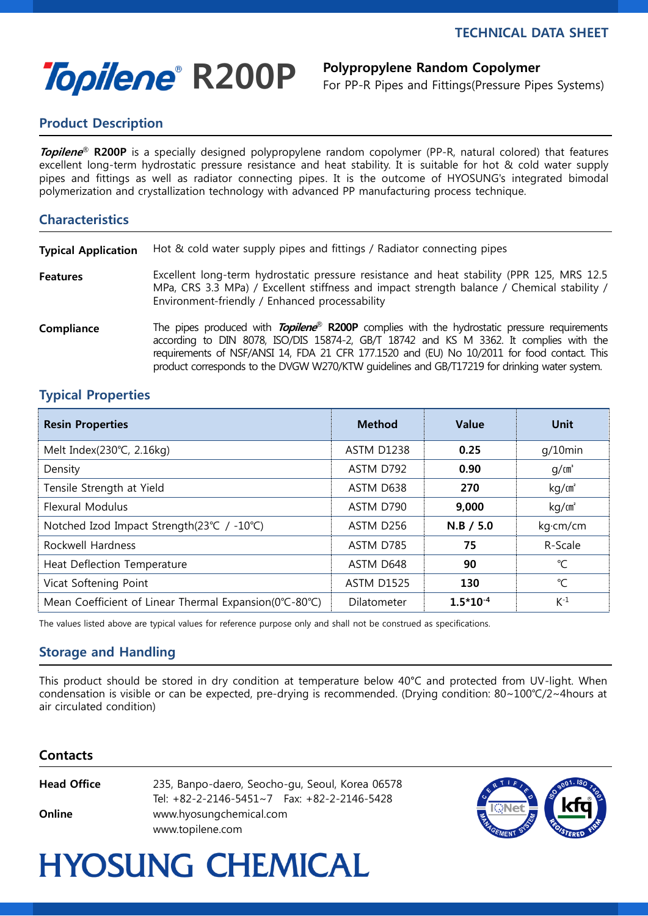# Topilene<sup>®</sup> R200P Polypropylene Random Copolymer

For PP-R Pipes and Fittings(Pressure Pipes Systems)

## Product Description

Topilene<sup>®</sup> R200P is a specially designed polypropylene random copolymer (PP-R, natural colored) that features excellent long-term hydrostatic pressure resistance and heat stability. It is suitable for hot & cold water supply pipes and fittings as well as radiator connecting pipes. It is the outcome of HYOSUNG's integrated bimodal polymerization and crystallization technology with advanced PP manufacturing process technique.

### Characteristics

**Typical Application** Hot & cold water supply pipes and fittings / Radiator connecting pipes

Features Excellent long-term hydrostatic pressure resistance and heat stability (PPR 125, MRS 12.5 MPa, CRS 3.3 MPa) / Excellent stiffness and impact strength balance / Chemical stability / Environment-friendly / Enhanced processability

Compliance The pipes produced with Topilene® R200P complies with the hydrostatic pressure requirements according to DIN 8078, ISO/DIS 15874-2, GB/T 18742 and KS M 3362. It complies with the requirements of NSF/ANSI 14, FDA 21 CFR 177.1520 and (EU) No 10/2011 for food contact. This product corresponds to the DVGW W270/KTW guidelines and GB/T17219 for drinking water system.

### Typical Properties

| <b>Resin Properties</b>                                | <b>Method</b>     | <b>Value</b>  | Unit              |
|--------------------------------------------------------|-------------------|---------------|-------------------|
| Melt Index(230°C, 2.16kg)                              | <b>ASTM D1238</b> | 0.25          | $q/10$ min        |
| Density                                                | ASTM D792         | 0.90          | q/cm <sup>3</sup> |
| Tensile Strength at Yield                              | ASTM D638         | 270           | kg/m <sup>2</sup> |
| <b>Flexural Modulus</b>                                | ASTM D790         | 9,000         | kg/m <sup>2</sup> |
| Notched Izod Impact Strength(23℃ / -10℃)               | ASTM D256         | $N.B$ / 5.0   | kg·cm/cm          |
| Rockwell Hardness                                      | ASTM D785         | 75            | R-Scale           |
| Heat Deflection Temperature                            | ASTM D648         | 90            | °C                |
| Vicat Softening Point                                  | <b>ASTM D1525</b> | 130           | $\mathrm{C}$      |
| Mean Coefficient of Linear Thermal Expansion(0°C-80°C) | Dilatometer       | $1.5*10^{-4}$ | $K^{-1}$          |

The values listed above are typical values for reference purpose only and shall not be construed as specifications.

### Storage and Handling

This product should be stored in dry condition at temperature below 40°C and protected from UV-light. When condensation is visible or can be expected, pre-drying is recommended. (Drying condition: 80~100℃/2~4hours at air circulated condition)

#### Contacts

Head Office 235, Banpo-daero, Seocho-gu, Seoul, Korea 06578 Tel: +82-2-2146-5451~7 Fax: +82-2-2146-5428 **Online** www.hyosungchemical.com www.topilene.com



# **HYOSUNG CHEMICAL**